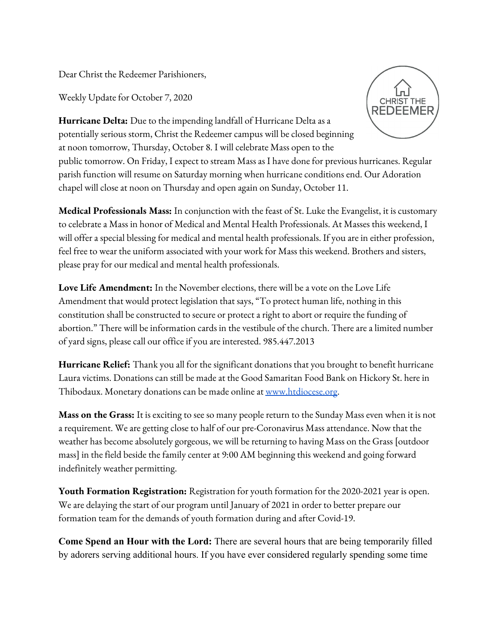Dear Christ the Redeemer Parishioners,

Weekly Update for October 7, 2020



**Hurricane Delta:** Due to the impending landfall of Hurricane Delta as a potentially serious storm, Christ the Redeemer campus will be closed beginning at noon tomorrow, Thursday, October 8. I will celebrate Mass open to the public tomorrow. On Friday, I expect to stream Mass as I have done for previous hurricanes. Regular parish function will resume on Saturday morning when hurricane conditions end. Our Adoration chapel will close at noon on Thursday and open again on Sunday, October 11.

**Medical Professionals Mass:** In conjunction with the feast of St. Luke the Evangelist, it is customary to celebrate a Mass in honor of Medical and Mental Health Professionals. At Masses this weekend, I will offer a special blessing for medical and mental health professionals. If you are in either profession, feel free to wear the uniform associated with your work for Mass this weekend. Brothers and sisters, please pray for our medical and mental health professionals.

**Love Life Amendment:** In the November elections, there will be a vote on the Love Life Amendment that would protect legislation that says, "To protect human life, nothing in this constitution shall be constructed to secure or protect a right to abort or require the funding of abortion." There will be information cards in the vestibule of the church. There are a limited number of yard signs, please call our office if you are interested. 985.447.2013

**Hurricane Relief:** Thank you all for the significant donations that you brought to benefit hurricane Laura victims. Donations can still be made at the Good Samaritan Food Bank on Hickory St. here in Thibodaux. Monetary donations can be made online at [www.htdiocese.org.](http://www.htdiocese.org/)

**Mass on the Grass:** It is exciting to see so many people return to the Sunday Mass even when it is not a requirement. We are getting close to half of our pre-Coronavirus Mass attendance. Now that the weather has become absolutely gorgeous, we will be returning to having Mass on the Grass [outdoor mass] in the field beside the family center at 9:00 AM beginning this weekend and going forward indefinitely weather permitting.

**Youth Formation Registration:** Registration for youth formation for the 2020-2021 year is open. We are delaying the start of our program until January of 2021 in order to better prepare our formation team for the demands of youth formation during and after Covid-19.

**Come Spend an Hour with the Lord:** There are several hours that are being temporarily filled by adorers serving additional hours. If you have ever considered regularly spending some time